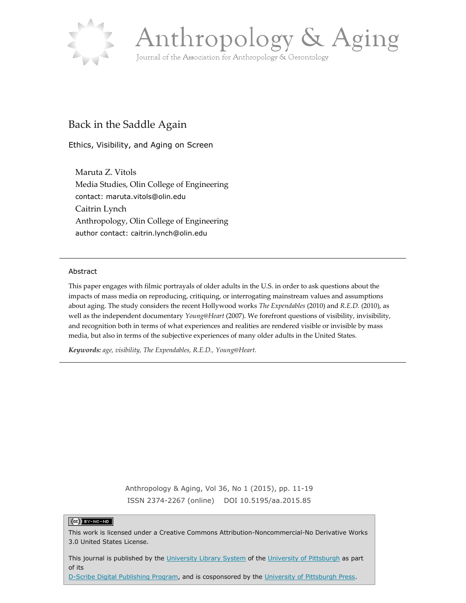



# Back in the Saddle Again

Ethics, Visibility, and Aging on Screen

Maruta Z. Vitols Media Studies, Olin College of Engineering contact: maruta.vitols@olin.edu Caitrin Lynch Anthropology, Olin College of Engineering author contact: caitrin.lynch@olin.edu

### Abstract

This paper engages with filmic portrayals of older adults in the U.S. in order to ask questions about the impacts of mass media on reproducing, critiquing, or interrogating mainstream values and assumptions about aging. The study considers the recent Hollywood works *The Expendables* (2010) and *R.E.D.* (2010), as well as the independent documentary *Young@Heart* (2007). We forefront questions of visibility, invisibility, and recognition both in terms of what experiences and realities are rendered visible or invisible by mass media, but also in terms of the subjective experiences of many older adults in the United States.

*Keywords: age, visibility, The Expendables, R.E.D., Young@Heart.*

Anthropology & Aging, Vol 36, No 1 (2015), pp. 11-19 ISSN 2374-2267 (online) DOI 10.5195/aa.2015.85

### $(G)$  BY-NC-ND

This work is licensed under a Creative Commons Attribution-Noncommercial-No Derivative Works 3.0 United States License.

This journal is published by the [University Library System](http://www.library.pitt.edu/) of the [University of Pittsburgh](http://www.pitt.edu/) as part of its

[D-Scribe Digital Publishing Program,](http://www.library.pitt.edu/articles/digpubtype/index.html) and is cosponsored by the [University of Pittsburgh Press.](http://www.upress.pitt.edu/upressIndex.aspx)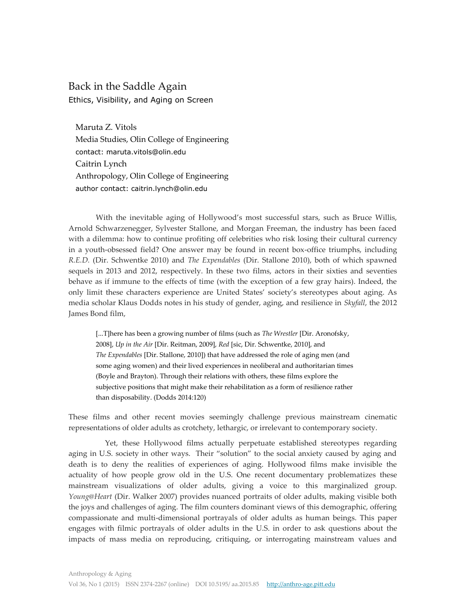## Back in the Saddle Again Ethics, Visibility, and Aging on Screen

Maruta Z. Vitols Media Studies, Olin College of Engineering contact: maruta.vitols@olin.edu Caitrin Lynch Anthropology, Olin College of Engineering author contact: caitrin.lynch@olin.edu

With the inevitable aging of Hollywood's most successful stars, such as Bruce Willis, Arnold Schwarzenegger, Sylvester Stallone, and Morgan Freeman, the industry has been faced with a dilemma: how to continue profiting off celebrities who risk losing their cultural currency in a youth-obsessed field? One answer may be found in recent box-office triumphs, including *R.E.D.* (Dir. Schwentke 2010) and *The Expendables* (Dir. Stallone 2010), both of which spawned sequels in 2013 and 2012, respectively. In these two films, actors in their sixties and seventies behave as if immune to the effects of time (with the exception of a few gray hairs). Indeed, the only limit these characters experience are United States' society's stereotypes about aging. As media scholar Klaus Dodds notes in his study of gender, aging, and resilience in *Skyfall*, the 2012 James Bond film,

[...T]here has been a growing number of films (such as *The Wrestler* [Dir. Aronofsky, 2008], *Up in the Air* [Dir. Reitman, 2009], *Red* [sic, Dir. Schwentke, 2010], and *The Expendables* [Dir. Stallone, 2010]) that have addressed the role of aging men (and some aging women) and their lived experiences in neoliberal and authoritarian times (Boyle and Brayton). Through their relations with others, these films explore the subjective positions that might make their rehabilitation as a form of resilience rather than disposability. (Dodds 2014:120)

These films and other recent movies seemingly challenge previous mainstream cinematic representations of older adults as crotchety, lethargic, or irrelevant to contemporary society.

Yet, these Hollywood films actually perpetuate established stereotypes regarding aging in U.S. society in other ways. Their "solution" to the social anxiety caused by aging and death is to deny the realities of experiences of aging. Hollywood films make invisible the actuality of how people grow old in the U.S. One recent documentary problematizes these mainstream visualizations of older adults, giving a voice to this marginalized group. *Young@Heart* (Dir. Walker 2007) provides nuanced portraits of older adults, making visible both the joys and challenges of aging. The film counters dominant views of this demographic, offering compassionate and multi-dimensional portrayals of older adults as human beings. This paper engages with filmic portrayals of older adults in the U.S. in order to ask questions about the impacts of mass media on reproducing, critiquing, or interrogating mainstream values and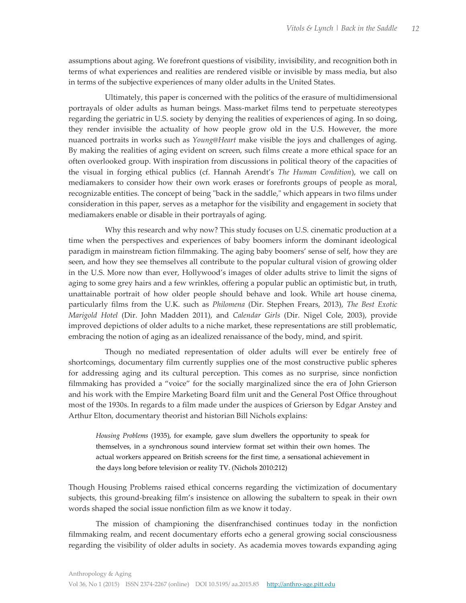assumptions about aging. We forefront questions of visibility, invisibility, and recognition both in terms of what experiences and realities are rendered visible or invisible by mass media, but also in terms of the subjective experiences of many older adults in the United States.

Ultimately, this paper is concerned with the politics of the erasure of multidimensional portrayals of older adults as human beings. Mass-market films tend to perpetuate stereotypes regarding the geriatric in U.S. society by denying the realities of experiences of aging. In so doing, they render invisible the actuality of how people grow old in the U.S. However, the more nuanced portraits in works such as *Young@Heart* make visible the joys and challenges of aging. By making the realities of aging evident on screen, such films create a more ethical space for an often overlooked group. With inspiration from discussions in political theory of the capacities of the visual in forging ethical publics (cf. Hannah Arendt's *The Human Condition*), we call on mediamakers to consider how their own work erases or forefronts groups of people as moral, recognizable entities. The concept of being "back in the saddle," which appears in two films under consideration in this paper, serves as a metaphor for the visibility and engagement in society that mediamakers enable or disable in their portrayals of aging.

Why this research and why now? This study focuses on U.S. cinematic production at a time when the perspectives and experiences of baby boomers inform the dominant ideological paradigm in mainstream fiction filmmaking. The aging baby boomers' sense of self, how they are seen, and how they see themselves all contribute to the popular cultural vision of growing older in the U.S. More now than ever, Hollywood's images of older adults strive to limit the signs of aging to some grey hairs and a few wrinkles, offering a popular public an optimistic but, in truth, unattainable portrait of how older people should behave and look. While art house cinema, particularly films from the U.K. such as *Philomena* (Dir. Stephen Frears, 2013), *The Best Exotic Marigold Hotel* (Dir. John Madden 2011), and *Calendar Girls* (Dir. Nigel Cole, 2003), provide improved depictions of older adults to a niche market, these representations are still problematic, embracing the notion of aging as an idealized renaissance of the body, mind, and spirit.

Though no mediated representation of older adults will ever be entirely free of shortcomings, documentary film currently supplies one of the most constructive public spheres for addressing aging and its cultural perception. This comes as no surprise, since nonfiction filmmaking has provided a "voice" for the socially marginalized since the era of John Grierson and his work with the Empire Marketing Board film unit and the General Post Office throughout most of the 1930s. In regards to a film made under the auspices of Grierson by Edgar Anstey and Arthur Elton, documentary theorist and historian Bill Nichols explains:

*Housing Problems* (1935), for example, gave slum dwellers the opportunity to speak for themselves, in a synchronous sound interview format set within their own homes. The actual workers appeared on British screens for the first time, a sensational achievement in the days long before television or reality TV. (Nichols 2010:212)

Though Housing Problems raised ethical concerns regarding the victimization of documentary subjects, this ground-breaking film's insistence on allowing the subaltern to speak in their own words shaped the social issue nonfiction film as we know it today.

The mission of championing the disenfranchised continues today in the nonfiction filmmaking realm, and recent documentary efforts echo a general growing social consciousness regarding the visibility of older adults in society. As academia moves towards expanding aging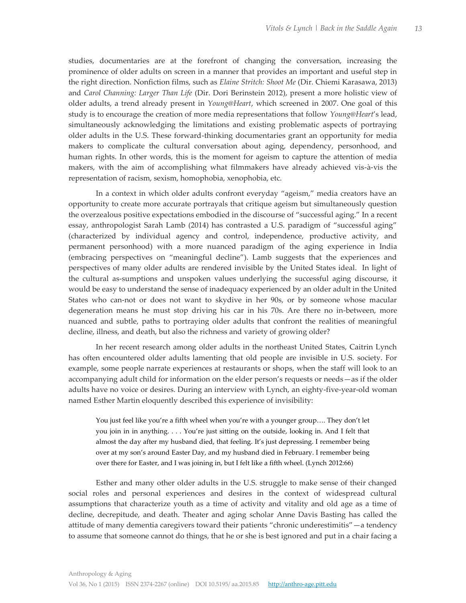studies, documentaries are at the forefront of changing the conversation, increasing the prominence of older adults on screen in a manner that provides an important and useful step in the right direction. Nonfiction films, such as *Elaine Stritch: Shoot Me* (Dir. Chiemi Karasawa, 2013) and *Carol Channing: Larger Than Life* (Dir. Dori Berinstein 2012), present a more holistic view of older adults, a trend already present in *Young@Heart*, which screened in 2007. One goal of this study is to encourage the creation of more media representations that follow *Young@Heart*'s lead, simultaneously acknowledging the limitations and existing problematic aspects of portraying older adults in the U.S. These forward-thinking documentaries grant an opportunity for media makers to complicate the cultural conversation about aging, dependency, personhood, and human rights. In other words, this is the moment for ageism to capture the attention of media makers, with the aim of accomplishing what filmmakers have already achieved vis-à-vis the representation of racism, sexism, homophobia, xenophobia, etc.

In a context in which older adults confront everyday "ageism," media creators have an opportunity to create more accurate portrayals that critique ageism but simultaneously question the overzealous positive expectations embodied in the discourse of "successful aging." In a recent essay, anthropologist Sarah Lamb (2014) has contrasted a U.S. paradigm of "successful aging" (characterized by individual agency and control, independence, productive activity, and permanent personhood) with a more nuanced paradigm of the aging experience in India (embracing perspectives on "meaningful decline"). Lamb suggests that the experiences and perspectives of many older adults are rendered invisible by the United States ideal. In light of the cultural as-sumptions and unspoken values underlying the successful aging discourse, it would be easy to understand the sense of inadequacy experienced by an older adult in the United States who can-not or does not want to skydive in her 90s, or by someone whose macular degeneration means he must stop driving his car in his 70s. Are there no in-between, more nuanced and subtle, paths to portraying older adults that confront the realities of meaningful decline, illness, and death, but also the richness and variety of growing older?

In her recent research among older adults in the northeast United States, Caitrin Lynch has often encountered older adults lamenting that old people are invisible in U.S. society. For example, some people narrate experiences at restaurants or shops, when the staff will look to an accompanying adult child for information on the elder person's requests or needs—as if the older adults have no voice or desires. During an interview with Lynch, an eighty-five-year-old woman named Esther Martin eloquently described this experience of invisibility:

You just feel like you're a fifth wheel when you're with a younger group…. They don't let you join in in anything. . . . You're just sitting on the outside, looking in. And I felt that almost the day after my husband died, that feeling. It's just depressing. I remember being over at my son's around Easter Day, and my husband died in February. I remember being over there for Easter, and I was joining in, but I felt like a fifth wheel. (Lynch 2012:66)

Esther and many other older adults in the U.S. struggle to make sense of their changed social roles and personal experiences and desires in the context of widespread cultural assumptions that characterize youth as a time of activity and vitality and old age as a time of decline, decrepitude, and death. Theater and aging scholar Anne Davis Basting has called the attitude of many dementia caregivers toward their patients "chronic underestimitis"—a tendency to assume that someone cannot do things, that he or she is best ignored and put in a chair facing a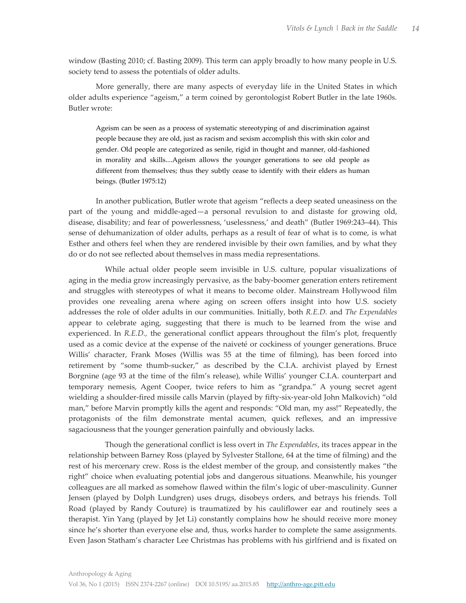window (Basting 2010; cf. Basting 2009). This term can apply broadly to how many people in U.S. society tend to assess the potentials of older adults.

More generally, there are many aspects of everyday life in the United States in which older adults experience "ageism," a term coined by gerontologist Robert Butler in the late 1960s. Butler wrote:

Ageism can be seen as a process of systematic stereotyping of and discrimination against people because they are old, just as racism and sexism accomplish this with skin color and gender. Old people are categorized as senile, rigid in thought and manner, old-fashioned in morality and skills....Ageism allows the younger generations to see old people as different from themselves; thus they subtly cease to identify with their elders as human beings. (Butler 1975:12)

In another publication, Butler wrote that ageism "reflects a deep seated uneasiness on the part of the young and middle-aged—a personal revulsion to and distaste for growing old, disease, disability; and fear of powerlessness, 'uselessness,' and death" (Butler 1969:243–44). This sense of dehumanization of older adults, perhaps as a result of fear of what is to come, is what Esther and others feel when they are rendered invisible by their own families, and by what they do or do not see reflected about themselves in mass media representations.

While actual older people seem invisible in U.S. culture, popular visualizations of aging in the media grow increasingly pervasive, as the baby-boomer generation enters retirement and struggles with stereotypes of what it means to become older. Mainstream Hollywood film provides one revealing arena where aging on screen offers insight into how U.S. society addresses the role of older adults in our communities. Initially, both *R.E.D.* and *The Expendables* appear to celebrate aging, suggesting that there is much to be learned from the wise and experienced. In *R.E.D.,* the generational conflict appears throughout the film's plot, frequently used as a comic device at the expense of the naiveté or cockiness of younger generations. Bruce Willis' character, Frank Moses (Willis was 55 at the time of filming), has been forced into retirement by "some thumb-sucker," as described by the C.I.A. archivist played by Ernest Borgnine (age 93 at the time of the film's release), while Willis' younger C.I.A. counterpart and temporary nemesis, Agent Cooper, twice refers to him as "grandpa." A young secret agent wielding a shoulder-fired missile calls Marvin (played by fifty-six-year-old John Malkovich) "old man," before Marvin promptly kills the agent and responds: "Old man, my ass!" Repeatedly, the protagonists of the film demonstrate mental acumen, quick reflexes, and an impressive sagaciousness that the younger generation painfully and obviously lacks.

Though the generational conflict is less overt in *The Expendables*, its traces appear in the relationship between Barney Ross (played by Sylvester Stallone, 64 at the time of filming) and the rest of his mercenary crew. Ross is the eldest member of the group, and consistently makes "the right" choice when evaluating potential jobs and dangerous situations. Meanwhile, his younger colleagues are all marked as somehow flawed within the film's logic of uber-masculinity. Gunner Jensen (played by Dolph Lundgren) uses drugs, disobeys orders, and betrays his friends. Toll Road (played by Randy Couture) is traumatized by his cauliflower ear and routinely sees a therapist. Yin Yang (played by Jet Li) constantly complains how he should receive more money since he's shorter than everyone else and, thus, works harder to complete the same assignments. Even Jason Statham's character Lee Christmas has problems with his girlfriend and is fixated on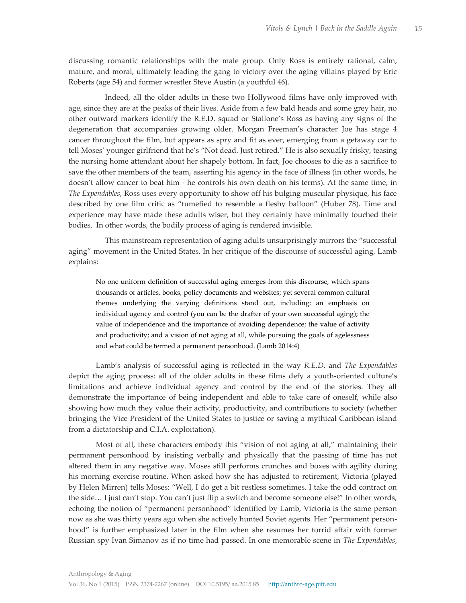discussing romantic relationships with the male group. Only Ross is entirely rational, calm, mature, and moral, ultimately leading the gang to victory over the aging villains played by Eric Roberts (age 54) and former wrestler Steve Austin (a youthful 46).

Indeed, all the older adults in these two Hollywood films have only improved with age, since they are at the peaks of their lives. Aside from a few bald heads and some grey hair, no other outward markers identify the R.E.D. squad or Stallone's Ross as having any signs of the degeneration that accompanies growing older. Morgan Freeman's character Joe has stage 4 cancer throughout the film, but appears as spry and fit as ever, emerging from a getaway car to tell Moses' younger girlfriend that he's "Not dead. Just retired." He is also sexually frisky, teasing the nursing home attendant about her shapely bottom. In fact, Joe chooses to die as a sacrifice to save the other members of the team, asserting his agency in the face of illness (in other words, he doesn't allow cancer to beat him - he controls his own death on his terms). At the same time, in *The Expendables*, Ross uses every opportunity to show off his bulging muscular physique, his face described by one film critic as "tumefied to resemble a fleshy balloon" (Huber 78). Time and experience may have made these adults wiser, but they certainly have minimally touched their bodies. In other words, the bodily process of aging is rendered invisible.

This mainstream representation of aging adults unsurprisingly mirrors the "successful aging" movement in the United States. In her critique of the discourse of successful aging, Lamb explains:

No one uniform definition of successful aging emerges from this discourse, which spans thousands of articles, books, policy documents and websites; yet several common cultural themes underlying the varying definitions stand out, including: an emphasis on individual agency and control (you can be the drafter of your own successful aging); the value of independence and the importance of avoiding dependence; the value of activity and productivity; and a vision of not aging at all, while pursuing the goals of agelessness and what could be termed a permanent personhood. (Lamb 2014:4)

Lamb's analysis of successful aging is reflected in the way *R.E.D.* and *The Expendables* depict the aging process: all of the older adults in these films defy a youth-oriented culture's limitations and achieve individual agency and control by the end of the stories. They all demonstrate the importance of being independent and able to take care of oneself, while also showing how much they value their activity, productivity, and contributions to society (whether bringing the Vice President of the United States to justice or saving a mythical Caribbean island from a dictatorship and C.I.A. exploitation).

Most of all, these characters embody this "vision of not aging at all," maintaining their permanent personhood by insisting verbally and physically that the passing of time has not altered them in any negative way. Moses still performs crunches and boxes with agility during his morning exercise routine. When asked how she has adjusted to retirement, Victoria (played by Helen Mirren) tells Moses: "Well, I do get a bit restless sometimes. I take the odd contract on the side… I just can't stop. You can't just flip a switch and become someone else!" In other words, echoing the notion of "permanent personhood" identified by Lamb, Victoria is the same person now as she was thirty years ago when she actively hunted Soviet agents. Her "permanent personhood" is further emphasized later in the film when she resumes her torrid affair with former Russian spy Ivan Simanov as if no time had passed. In one memorable scene in *The Expendables*,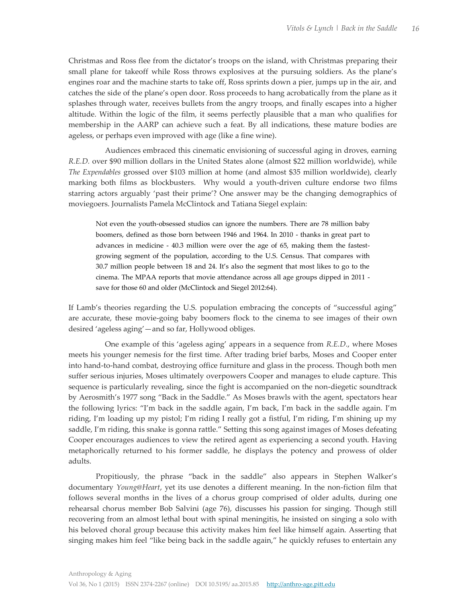Christmas and Ross flee from the dictator's troops on the island, with Christmas preparing their small plane for takeoff while Ross throws explosives at the pursuing soldiers. As the plane's engines roar and the machine starts to take off, Ross sprints down a pier, jumps up in the air, and catches the side of the plane's open door. Ross proceeds to hang acrobatically from the plane as it splashes through water, receives bullets from the angry troops, and finally escapes into a higher altitude. Within the logic of the film, it seems perfectly plausible that a man who qualifies for membership in the AARP can achieve such a feat. By all indications, these mature bodies are ageless, or perhaps even improved with age (like a fine wine).

Audiences embraced this cinematic envisioning of successful aging in droves, earning *R.E.D.* over \$90 million dollars in the United States alone (almost \$22 million worldwide), while *The Expendables* grossed over \$103 million at home (and almost \$35 million worldwide), clearly marking both films as blockbusters. Why would a youth-driven culture endorse two films starring actors arguably 'past their prime'? One answer may be the changing demographics of moviegoers. Journalists Pamela McClintock and Tatiana Siegel explain:

Not even the youth-obsessed studios can ignore the numbers. There are 78 million baby boomers, defined as those born between 1946 and 1964. In 2010 - thanks in great part to advances in medicine - 40.3 million were over the age of 65, making them the fastestgrowing segment of the population, according to the U.S. Census. That compares with 30.7 million people between 18 and 24. It's also the segment that most likes to go to the cinema. The MPAA reports that movie attendance across all age groups dipped in 2011 save for those 60 and older (McClintock and Siegel 2012:64).

If Lamb's theories regarding the U.S. population embracing the concepts of "successful aging" are accurate, these movie-going baby boomers flock to the cinema to see images of their own desired 'ageless aging'—and so far, Hollywood obliges.

One example of this 'ageless aging' appears in a sequence from *R.E.D*., where Moses meets his younger nemesis for the first time. After trading brief barbs, Moses and Cooper enter into hand-to-hand combat, destroying office furniture and glass in the process. Though both men suffer serious injuries, Moses ultimately overpowers Cooper and manages to elude capture. This sequence is particularly revealing, since the fight is accompanied on the non-diegetic soundtrack by Aerosmith's 1977 song "Back in the Saddle." As Moses brawls with the agent, spectators hear the following lyrics: "I'm back in the saddle again, I'm back, I'm back in the saddle again. I'm riding, I'm loading up my pistol; I'm riding I really got a fistful, I'm riding, I'm shining up my saddle, I'm riding, this snake is gonna rattle." Setting this song against images of Moses defeating Cooper encourages audiences to view the retired agent as experiencing a second youth. Having metaphorically returned to his former saddle, he displays the potency and prowess of older adults.

Propitiously, the phrase "back in the saddle" also appears in Stephen Walker's documentary *Young@Heart*, yet its use denotes a different meaning. In the non-fiction film that follows several months in the lives of a chorus group comprised of older adults, during one rehearsal chorus member Bob Salvini (age 76), discusses his passion for singing. Though still recovering from an almost lethal bout with spinal meningitis, he insisted on singing a solo with his beloved choral group because this activity makes him feel like himself again. Asserting that singing makes him feel "like being back in the saddle again," he quickly refuses to entertain any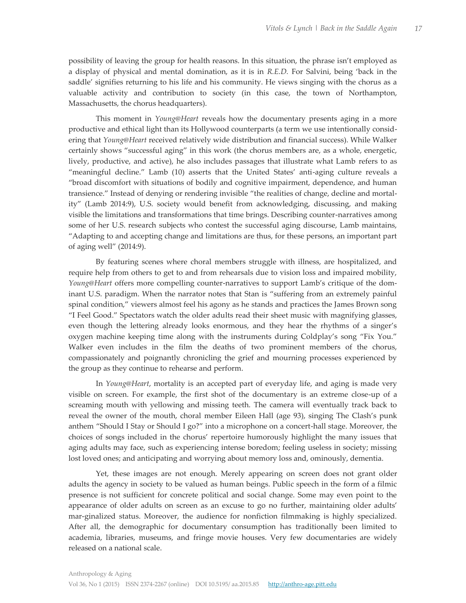possibility of leaving the group for health reasons. In this situation, the phrase isn't employed as a display of physical and mental domination, as it is in *R.E.D.* For Salvini, being 'back in the saddle' signifies returning to his life and his community. He views singing with the chorus as a valuable activity and contribution to society (in this case, the town of Northampton, Massachusetts, the chorus headquarters).

This moment in *Young@Heart* reveals how the documentary presents aging in a more productive and ethical light than its Hollywood counterparts (a term we use intentionally considering that *Young@Heart* received relatively wide distribution and financial success). While Walker certainly shows "successful aging" in this work (the chorus members are, as a whole, energetic, lively, productive, and active), he also includes passages that illustrate what Lamb refers to as "meaningful decline." Lamb (10) asserts that the United States' anti-aging culture reveals a "broad discomfort with situations of bodily and cognitive impairment, dependence, and human transience." Instead of denying or rendering invisible "the realities of change, decline and mortality" (Lamb 2014:9), U.S. society would benefit from acknowledging, discussing, and making visible the limitations and transformations that time brings. Describing counter-narratives among some of her U.S. research subjects who contest the successful aging discourse, Lamb maintains, "Adapting to and accepting change and limitations are thus, for these persons, an important part of aging well" (2014:9).

By featuring scenes where choral members struggle with illness, are hospitalized, and require help from others to get to and from rehearsals due to vision loss and impaired mobility, *Young@Heart* offers more compelling counter-narratives to support Lamb's critique of the dominant U.S. paradigm. When the narrator notes that Stan is "suffering from an extremely painful spinal condition," viewers almost feel his agony as he stands and practices the James Brown song "I Feel Good." Spectators watch the older adults read their sheet music with magnifying glasses, even though the lettering already looks enormous, and they hear the rhythms of a singer's oxygen machine keeping time along with the instruments during Coldplay's song "Fix You." Walker even includes in the film the deaths of two prominent members of the chorus, compassionately and poignantly chronicling the grief and mourning processes experienced by the group as they continue to rehearse and perform.

In *Young@Heart*, mortality is an accepted part of everyday life, and aging is made very visible on screen. For example, the first shot of the documentary is an extreme close-up of a screaming mouth with yellowing and missing teeth. The camera will eventually track back to reveal the owner of the mouth, choral member Eileen Hall (age 93), singing The Clash's punk anthem "Should I Stay or Should I go?" into a microphone on a concert-hall stage. Moreover, the choices of songs included in the chorus' repertoire humorously highlight the many issues that aging adults may face, such as experiencing intense boredom; feeling useless in society; missing lost loved ones; and anticipating and worrying about memory loss and, ominously, dementia.

Yet, these images are not enough. Merely appearing on screen does not grant older adults the agency in society to be valued as human beings. Public speech in the form of a filmic presence is not sufficient for concrete political and social change. Some may even point to the appearance of older adults on screen as an excuse to go no further, maintaining older adults' mar-ginalized status. Moreover, the audience for nonfiction filmmaking is highly specialized. After all, the demographic for documentary consumption has traditionally been limited to academia, libraries, museums, and fringe movie houses. Very few documentaries are widely released on a national scale.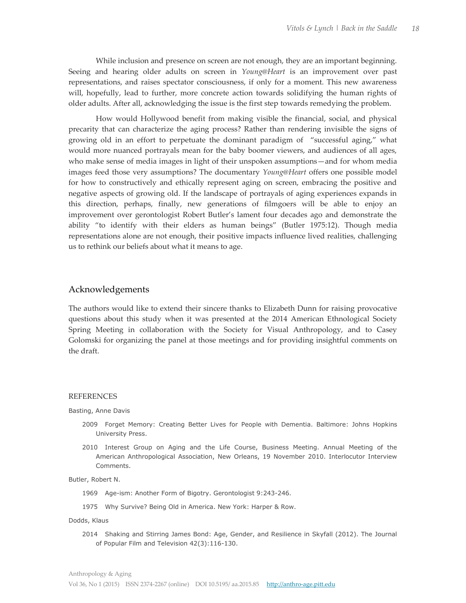While inclusion and presence on screen are not enough, they are an important beginning. Seeing and hearing older adults on screen in *Young@Heart* is an improvement over past representations, and raises spectator consciousness, if only for a moment. This new awareness will, hopefully, lead to further, more concrete action towards solidifying the human rights of older adults. After all, acknowledging the issue is the first step towards remedying the problem.

How would Hollywood benefit from making visible the financial, social, and physical precarity that can characterize the aging process? Rather than rendering invisible the signs of growing old in an effort to perpetuate the dominant paradigm of "successful aging," what would more nuanced portrayals mean for the baby boomer viewers, and audiences of all ages, who make sense of media images in light of their unspoken assumptions—and for whom media images feed those very assumptions? The documentary *Young@Heart* offers one possible model for how to constructively and ethically represent aging on screen, embracing the positive and negative aspects of growing old. If the landscape of portrayals of aging experiences expands in this direction, perhaps, finally, new generations of filmgoers will be able to enjoy an improvement over gerontologist Robert Butler's lament four decades ago and demonstrate the ability "to identify with their elders as human beings" (Butler 1975:12). Though media representations alone are not enough, their positive impacts influence lived realities, challenging us to rethink our beliefs about what it means to age.

### Acknowledgements

The authors would like to extend their sincere thanks to Elizabeth Dunn for raising provocative questions about this study when it was presented at the 2014 American Ethnological Society Spring Meeting in collaboration with the Society for Visual Anthropology, and to Casey Golomski for organizing the panel at those meetings and for providing insightful comments on the draft.

#### REFERENCES

Basting, Anne Davis

- 2009 Forget Memory: Creating Better Lives for People with Dementia. Baltimore: Johns Hopkins University Press.
- 2010 Interest Group on Aging and the Life Course, Business Meeting. Annual Meeting of the American Anthropological Association, New Orleans, 19 November 2010. Interlocutor Interview Comments.

Butler, Robert N.

- 1969 Age-ism: Another Form of Bigotry. Gerontologist 9:243-246.
- 1975 Why Survive? Being Old in America. New York: Harper & Row.

Dodds, Klaus

2014 Shaking and Stirring James Bond: Age, Gender, and Resilience in Skyfall (2012). The Journal of Popular Film and Television 42(3):116-130.